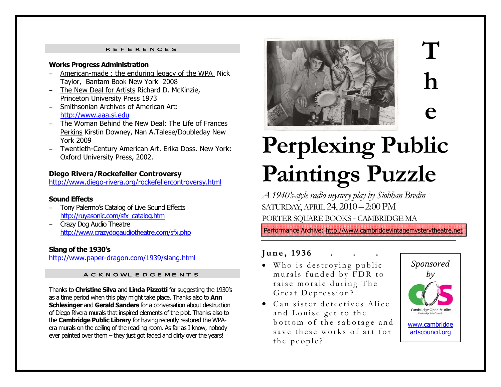### REFERENCES

#### **Works Progress Administration**

- American-made : the enduring legacy of the WPA Nick Taylor, Bantam Book New York 2008
- The New Deal for Artists Richard D. McKinzie, Princeton University Press 1973
- Smithsonian Archives of American Art: http://www.aaa.si.edu
- The Woman Behind the New Deal: The Life of Frances Perkins Kirstin Downey, Nan A.Talese/Doubleday New York 2009
- Twentieth-Century American Art. Erika Doss. New York: Oxford University Press, 2002.

### **Diego Rivera/Rockefeller Controversy**

http://www.diego-rivera.org/rockefellercontroversy.html

### **Sound Effects**

- Tony Palermo's Catalog of Live Sound Effects http://ruyasonic.com/sfx\_catalog.htm
- – Crazy Dog Audio Theatre http://www.crazydogaudiotheatre.com/sfx.php

### **Slang of the 1930's**

http://www.paper-dragon.com/1939/slang.html

### ACKNOWLEDGEMENTS

Thanks to **Christine Silva** and **Linda Pizzotti** for suggesting the 1930's as a time period when this play might take place. Thanks also to **Ann Schlesinger** and **Gerald Sanders** for a conversation about destruction of Diego Rivera murals that inspired elements of the plot. Thanks also to the **Cambridge Public Library** for having recently restored the WPAera murals on the ceiling of the reading room. As far as I know, nobody ever painted over them – they just got faded and dirty over the years!



# **T h e**

# **Perplexing Public Paintings Puzzle**

*A 1940's-style radio mystery play by Siobhan Bredin*  SATURDAY, APRIL 24, 2010 – 2:00 PM PORTER SQUARE BOOKS - CAMBRIDGE MA

Performance Archive: http://www.cambridgevintagemysterytheatre.net

#### **J u n e , 1 9 3 6. . .**

- Who is destroying public murals funded by FDR to raise morale during The Great Depression?
- Can sister detectives Alice and Louise get to the bottom of the sabotage and save these works of art for the people?